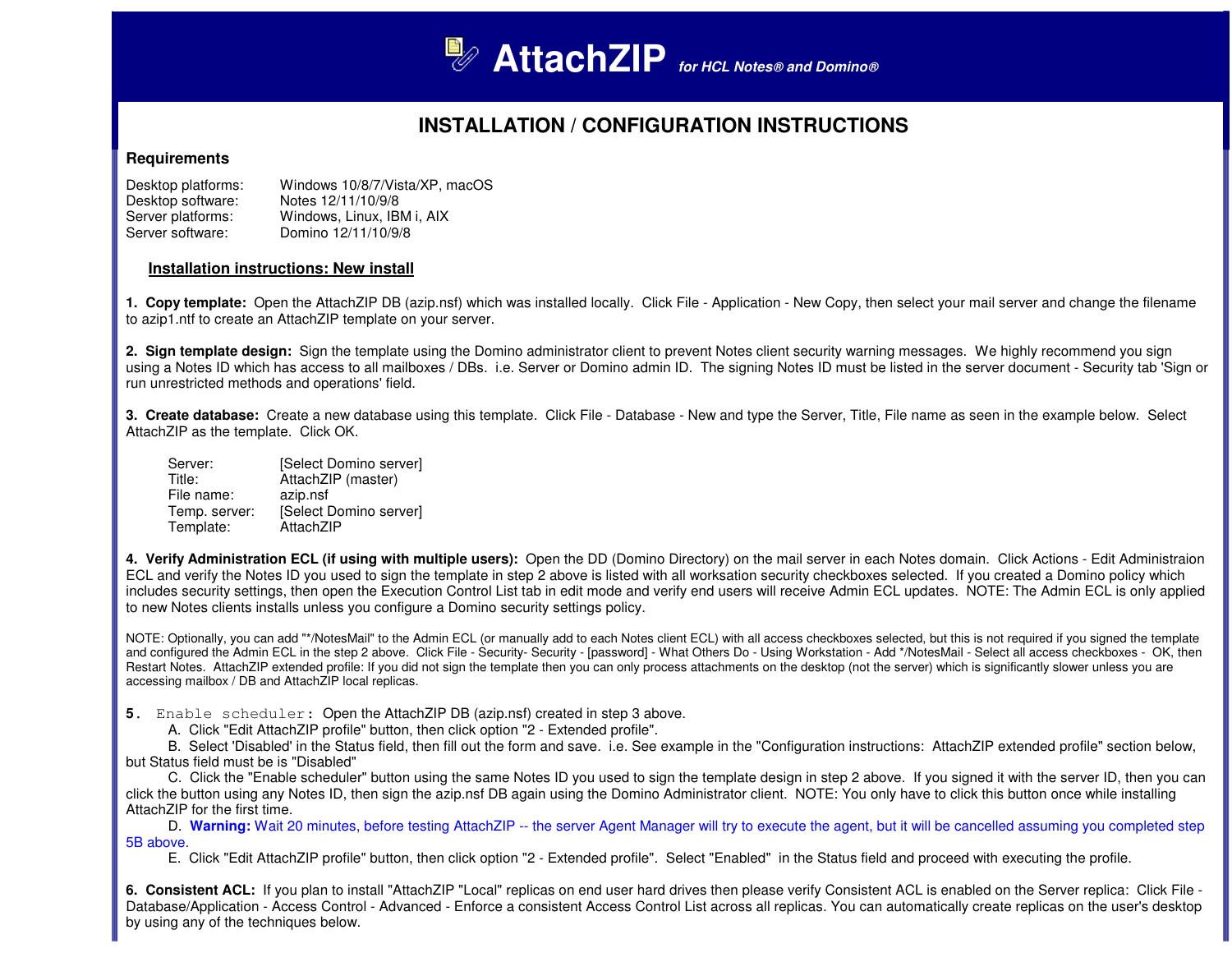

# **INSTALLATION / CONFIGURATION INSTRUCTIONS**

### **Requirements**

| Desktop platforms: | Windows 10/8/7/Vista/XP, macOS |
|--------------------|--------------------------------|
| Desktop software:  | Notes 12/11/10/9/8             |
| Server platforms:  | Windows, Linux, IBM i, AIX     |
| Server software:   | Domino 12/11/10/9/8            |

### **Installation instructions: New install**

**1. Copy template:** Open the AttachZIP DB (azip.nsf) which was installed locally. Click File - Application - New Copy, then select your mail server and change the filename to azip1.ntf to create an AttachZIP template on your server.

**2. Sign template design:** Sign the template using the Domino administrator client to prevent Notes client security warning messages. We highly recommend you sign using a Notes ID which has access to all mailboxes / DBs. i.e. Server or Domino admin ID. The signing Notes ID must be listed in the server document - Security tab 'Sign or run unrestricted methods and operations' field.

**3. Create database:** Create a new database using this template. Click File - Database - New and type the Server, Title, File name as seen in the example below. Select AttachZIP as the template. Click OK.

| Server:       | [Select Domino server] |
|---------------|------------------------|
| Title:        | AttachZIP (master)     |
| File name:    | azip.nsf               |
| Temp. server: | [Select Domino server] |
| Template:     | AttachZIP              |

**4. Verify Administration ECL (if using with multiple users):** Open the DD (Domino Directory) on the mail server in each Notes domain. Click Actions - Edit Administraion ECL and verify the Notes ID you used to sign the template in step 2 above is listed with all worksation security checkboxes selected. If you created a Domino policy which includes security settings, then open the Execution Control List tab in edit mode and verify end users will receive Admin ECL updates. NOTE: The Admin ECL is only applied to new Notes clients installs unless you configure a Domino security settings policy.

NOTE: Optionally, you can add "\*/NotesMail" to the Admin ECL (or manually add to each Notes client ECL) with all access checkboxes selected, but this is not required if you signed the template and configured the Admin ECL in the step 2 above. Click File - Security- Security - [password] - What Others Do - Using Workstation - Add \*/NotesMail - Select all access checkboxes - OK, then Restart Notes. AttachZIP extended profile: If you did not sign the template then you can only process attachments on the desktop (not the server) which is significantly slower unless you are accessing mailbox / DB and AttachZIP local replicas.

**5**. Enable scheduler: Open the AttachZIP DB (azip.nsf) created in step 3 above.

A. Click "Edit AttachZIP profile" button, then click option "2 - Extended profile".

 B. Select 'Disabled' in the Status field, then fill out the form and save. i.e. See example in the "Configuration instructions: AttachZIP extended profile" section below, but Status field must be is "Disabled"

 C. Click the "Enable scheduler" button using the same Notes ID you used to sign the template design in step 2 above. If you signed it with the server ID, then you can click the button using any Notes ID, then sign the azip.nsf DB again using the Domino Administrator client. NOTE: You only have to click this button once while installing AttachZIP for the first time.

D. Warning: Wait 20 minutes, before testing AttachZIP -- the server Agent Manager will try to execute the agent, but it will be cancelled assuming you completed step 5B above.

E. Click "Edit AttachZIP profile" button, then click option "2 - Extended profile". Select "Enabled" in the Status field and proceed with executing the profile.

**6. Consistent ACL:** If you plan to install "AttachZIP "Local" replicas on end user hard drives then please verify Consistent ACL is enabled on the Server replica: Click File - Database/Application - Access Control - Advanced - Enforce a consistent Access Control List across all replicas. You can automatically create replicas on the user's desktop by using any of the techniques below.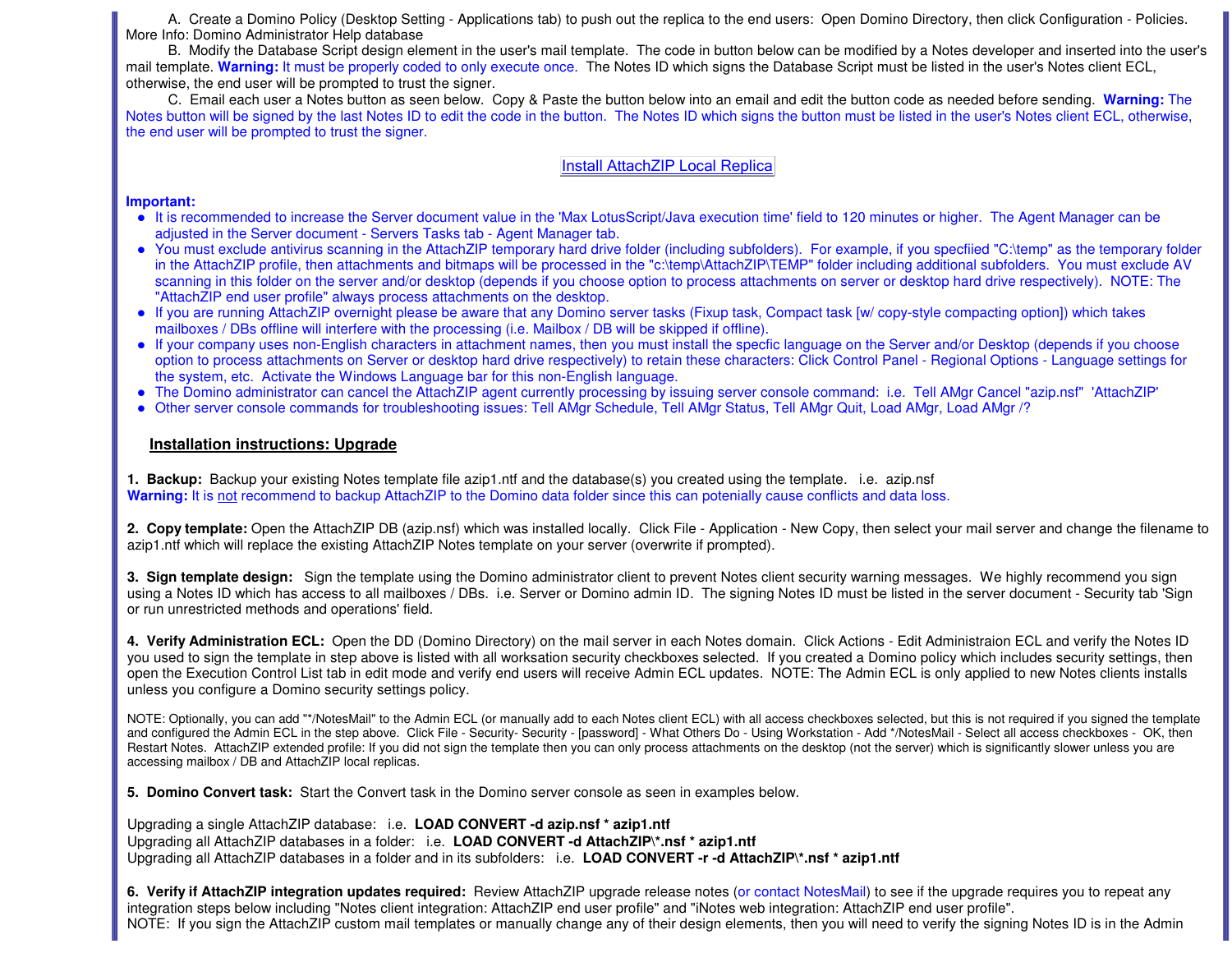A. Create a Domino Policy (Desktop Setting - Applications tab) to push out the replica to the end users: Open Domino Directory, then click Configuration - Policies. More Info: Domino Administrator Help database

 B. Modify the Database Script design element in the user's mail template. The code in button below can be modified by a Notes developer and inserted into the user's mail template. Warning: It must be properly coded to only execute once. The Notes ID which signs the Database Script must be listed in the user's Notes client ECL, otherwise, the end user will be prompted to trust the signer.

 C. Email each user a Notes button as seen below. Copy & Paste the button below into an email and edit the button code as needed before sending. **Warning:** The Notes button will be signed by the last Notes ID to edit the code in the button. The Notes ID which signs the button must be listed in the user's Notes client ECL, otherwise, the end user will be prompted to trust the signer.

### Install AttachZIP Local Replica

#### **Important:**

- It is recommended to increase the Server document value in the 'Max LotusScript/Java execution time' field to 120 minutes or higher. The Agent Manager can be adjusted in the Server document - Servers Tasks tab - Agent Manager tab.
- You must exclude antivirus scanning in the AttachZIP temporary hard drive folder (including subfolders). For example, if you specfiied "C:\temp" as the temporary folder in the AttachZIP profile, then attachments and bitmaps will be processed in the "c:\temp\AttachZIP\TEMP" folder including additional subfolders. You must exclude AV scanning in this folder on the server and/or desktop (depends if you choose option to process attachments on server or desktop hard drive respectively). NOTE: The "AttachZIP end user profile" always process attachments on the desktop.
- If you are running AttachZIP overnight please be aware that any Domino server tasks (Fixup task, Compact task [w/ copy-style compacting option]) which takes mailboxes / DBs offline will interfere with the processing (i.e. Mailbox / DB will be skipped if offline).
- If your company uses non-English characters in attachment names, then you must install the specfic language on the Server and/or Desktop (depends if you choose option to process attachments on Server or desktop hard drive respectively) to retain these characters: Click Control Panel - Regional Options - Language settings for the system, etc. Activate the Windows Language bar for this non-English language.
- The Domino administrator can cancel the AttachZIP agent currently processing by issuing server console command: i.e. Tell AMgr Cancel "azip.nsf" 'AttachZIP'
- Other server console commands for troubleshooting issues: Tell AMgr Schedule, Tell AMgr Status, Tell AMgr Quit, Load AMgr, Load AMgr /?

### **Installation instructions: Upgrade**

**1. Backup:** Backup your existing Notes template file azip1.ntf and the database(s) you created using the template. i.e. azip.nsfWarning: It is not recommend to backup AttachZIP to the Domino data folder since this can potenially cause conflicts and data loss.

**2. Copy template:** Open the AttachZIP DB (azip.nsf) which was installed locally. Click File - Application - New Copy, then select your mail server and change the filename to azip1.ntf which will replace the existing AttachZIP Notes template on your server (overwrite if prompted).

**3. Sign template design:** Sign the template using the Domino administrator client to prevent Notes client security warning messages. We highly recommend you sign using a Notes ID which has access to all mailboxes / DBs. i.e. Server or Domino admin ID. The signing Notes ID must be listed in the server document - Security tab 'Sign or run unrestricted methods and operations' field.

**4. Verify Administration ECL:** Open the DD (Domino Directory) on the mail server in each Notes domain. Click Actions - Edit Administraion ECL and verify the Notes ID you used to sign the template in step above is listed with all worksation security checkboxes selected. If you created a Domino policy which includes security settings, then open the Execution Control List tab in edit mode and verify end users will receive Admin ECL updates. NOTE: The Admin ECL is only applied to new Notes clients installs unless you configure a Domino security settings policy.

NOTE: Optionally, you can add "\*/NotesMail" to the Admin ECL (or manually add to each Notes client ECL) with all access checkboxes selected, but this is not required if you signed the template and configured the Admin ECL in the step above. Click File - Security- Security - [password] - What Others Do - Using Workstation - Add \*/NotesMail - Select all access checkboxes - OK, then Restart Notes. AttachZIP extended profile: If you did not sign the template then you can only process attachments on the desktop (not the server) which is significantly slower unless you are accessing mailbox / DB and AttachZIP local replicas.

**5. Domino Convert task:** Start the Convert task in the Domino server console as seen in examples below.

Upgrading a single AttachZIP database: i.e. **LOAD CONVERT -d azip.nsf \* azip1.ntf** Upgrading all AttachZIP databases in a folder: i.e. **LOAD CONVERT -d AttachZIP\\*.nsf \* azip1.ntf**Upgrading all AttachZIP databases in a folder and in its subfolders: i.e. **LOAD CONVERT -r -d AttachZIP\\*.nsf \* azip1.ntf**

**6. Verify if AttachZIP integration updates required:** Review AttachZIP upgrade release notes (or contact NotesMail) to see if the upgrade requires you to repeat any integration steps below including "Notes client integration: AttachZIP end user profile" and "iNotes web integration: AttachZIP end user profile".NOTE: If you sign the AttachZIP custom mail templates or manually change any of their design elements, then you will need to verify the signing Notes ID is in the Admin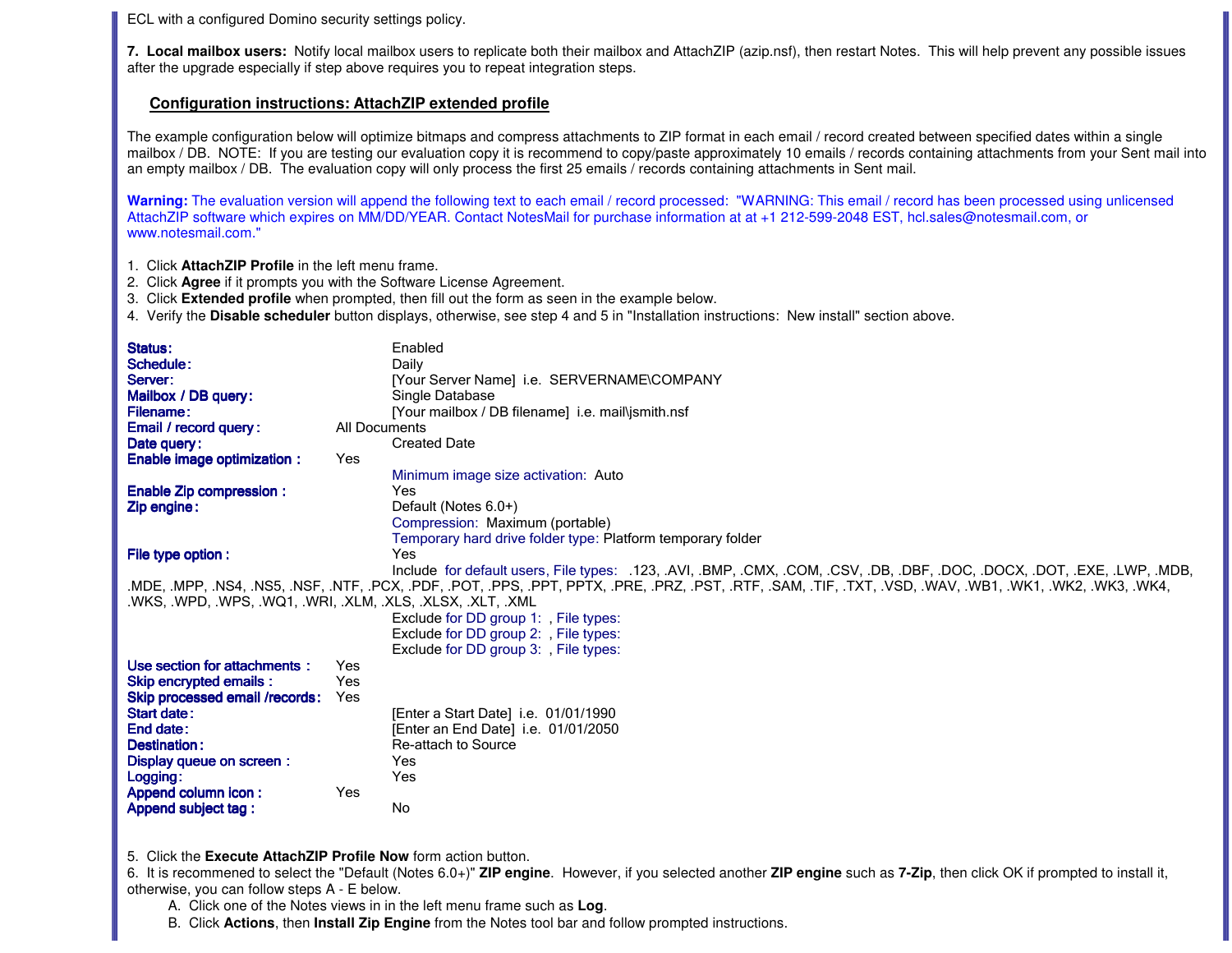ECL with a configured Domino security settings policy.

**7. Local mailbox users:** Notify local mailbox users to replicate both their mailbox and AttachZIP (azip.nsf), then restart Notes. This will help prevent any possible issues after the upgrade especially if step above requires you to repeat integration steps.

## **Configuration instructions: AttachZIP extended profile**

The example configuration below will optimize bitmaps and compress attachments to ZIP format in each email / record created between specified dates within a single mailbox / DB. NOTE: If you are testing our evaluation copy it is recommend to copy/paste approximately 10 emails / records containing attachments from your Sent mail into an empty mailbox / DB. The evaluation copy will only process the first 25 emails / records containing attachments in Sent mail.

Warning: The evaluation version will append the following text to each email / record processed: "WARNING: This email / record has been processed using unlicensed AttachZIP software which expires on MM/DD/YEAR. Contact NotesMail for purchase information at at +1 212-599-2048 EST, hcl.sales@notesmail.com, or www.notesmail.com."

- 1. Click **AttachZIP Profile** in the left menu frame.
- 2. Click **Agree** if it prompts you with the Software License Agreement.
- 3. Click **Extended profile** when prompted, then fill out the form as seen in the example below.
- 4. Verify the **Disable scheduler** button displays, otherwise, see step 4 and 5 in "Installation instructions: New install" section above.

| Status:                                                     |               | Enabled                                                                                                                                                     |
|-------------------------------------------------------------|---------------|-------------------------------------------------------------------------------------------------------------------------------------------------------------|
| Schedule:                                                   |               | Daily                                                                                                                                                       |
| Server:                                                     |               | [Your Server Name] i.e. SERVERNAME\COMPANY                                                                                                                  |
| Mailbox / DB query:                                         |               | Single Database                                                                                                                                             |
| <b>Filename:</b>                                            |               | [Your mailbox / DB filename] i.e. mail\jsmith.nsf                                                                                                           |
| Email / record query:                                       | All Documents |                                                                                                                                                             |
| Date query:                                                 |               | <b>Created Date</b>                                                                                                                                         |
| <b>Enable image optimization:</b>                           | Yes           |                                                                                                                                                             |
|                                                             |               | Minimum image size activation: Auto                                                                                                                         |
| <b>Enable Zip compression:</b>                              |               | Yes                                                                                                                                                         |
| Zip engine:                                                 |               | Default (Notes 6.0+)                                                                                                                                        |
|                                                             |               | Compression: Maximum (portable)                                                                                                                             |
|                                                             |               | Temporary hard drive folder type: Platform temporary folder                                                                                                 |
| File type option :                                          |               | Yes                                                                                                                                                         |
|                                                             |               | Include for default users, File types: .123, .AVI, .BMP, .CMX, .COM, .CSV, .DB, .DBF, .DOC, .DOCX, .DOT, .EXE, .LWP, .MDB,                                  |
|                                                             |               | .MDE, .MPP, .NS4, .NS5, .NSF, .NTF, .PCX, .PDF, .POT, .PPS, .PPT, PPTX, .PRE, .PRZ, .PST, .RTF, .SAM, .TIF, .TXT, .VSD, .WAV, .WB1, .WK1, .WK2, .WK3, .WK4, |
| .WKS, .WPD, .WPS, .WQ1, .WRI, .XLM, .XLS, .XLSX, .XLT, .XML |               |                                                                                                                                                             |
|                                                             |               | Exclude for DD group 1: , File types:                                                                                                                       |
|                                                             |               | Exclude for DD group 2: File types:                                                                                                                         |
|                                                             |               | Exclude for DD group 3: File types:                                                                                                                         |
| Use section for attachments:                                | Yes           |                                                                                                                                                             |
| <b>Skip encrypted emails:</b>                               | Yes           |                                                                                                                                                             |
| Skip processed email /records:                              | Yes           |                                                                                                                                                             |
| Start date:                                                 |               | [Enter a Start Date] i.e. 01/01/1990                                                                                                                        |
| End date:                                                   |               | [Enter an End Date] i.e. 01/01/2050                                                                                                                         |
| Destination:                                                |               | Re-attach to Source                                                                                                                                         |
| Display queue on screen :                                   |               | Yes                                                                                                                                                         |
| Logging:                                                    |               | Yes                                                                                                                                                         |
| Append column icon:                                         | Yes           |                                                                                                                                                             |
| <b>Append subject tag:</b>                                  |               | <b>No</b>                                                                                                                                                   |
|                                                             |               |                                                                                                                                                             |
|                                                             |               |                                                                                                                                                             |

5. Click the **Execute AttachZIP Profile Now** form action button.

 6. It is recommened to select the "Default (Notes 6.0+)" **ZIP engine**. However, if you selected another **ZIP engine** such as **7-Zip**, then click OK if prompted to install it, otherwise, you can follow steps A - E below.

A. Click one of the Notes views in in the left menu frame such as **Log**.

B. Click **Actions**, then **Install Zip Engine** from the Notes tool bar and follow prompted instructions.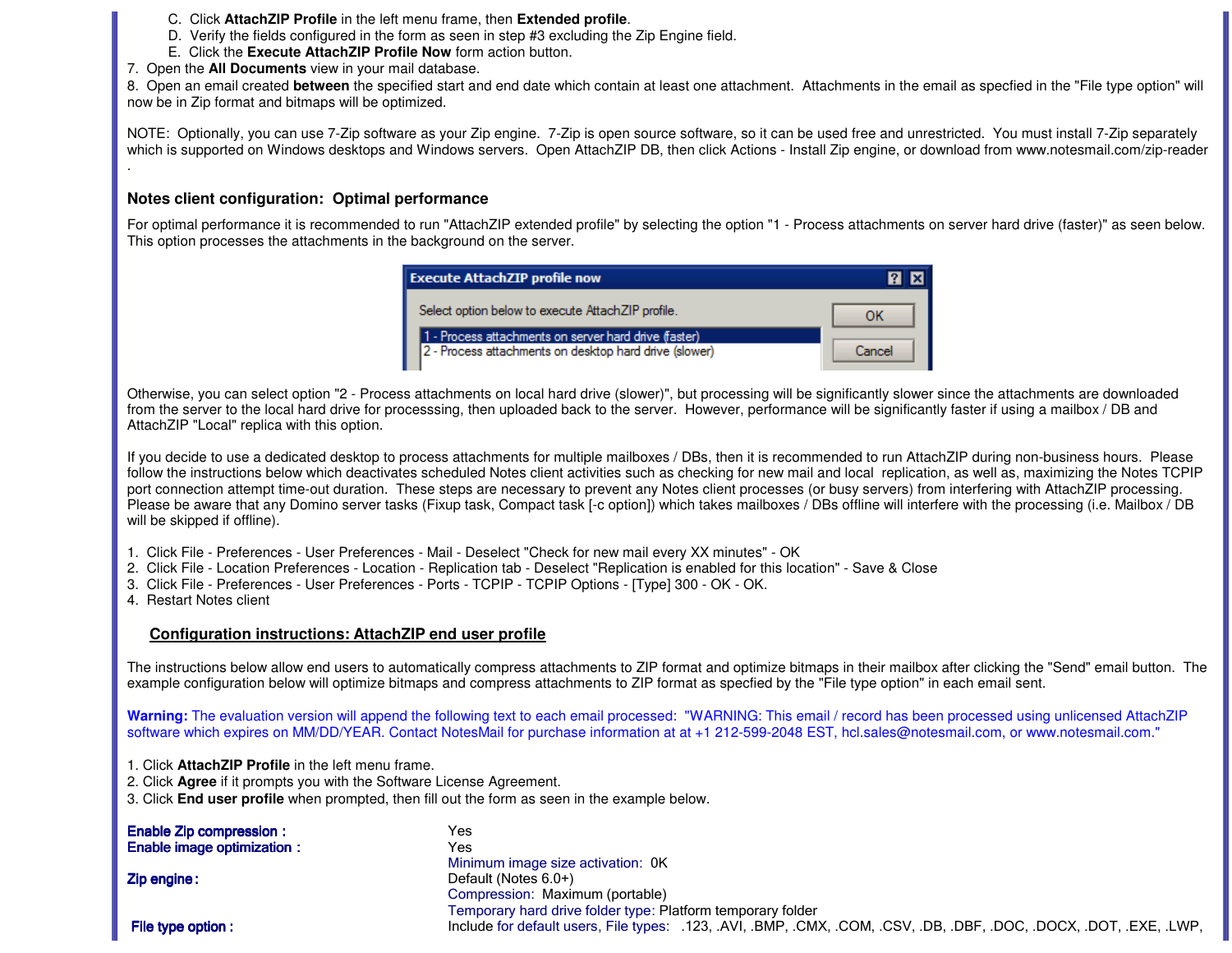- C. Click **AttachZIP Profile** in the left menu frame, then **Extended profile**.
- D. Verify the fields configured in the form as seen in step #3 excluding the Zip Engine field.
- E. Click the **Execute AttachZIP Profile Now** form action button.
- 7. Open the **All Documents** view in your mail database.

 8. Open an email created **between** the specified start and end date which contain at least one attachment. Attachments in the email as specfied in the "File type option" willnow be in Zip format and bitmaps will be optimized.

NOTE: Optionally, you can use 7-Zip software as your Zip engine. 7-Zip is open source software, so it can be used free and unrestricted. You must install 7-Zip separately which is supported on Windows desktops and Windows servers. Open AttachZIP DB, then click Actions - Install Zip engine, or download from www.notesmail.com/zip-reader

# **Notes client configuration: Optimal performance**

For optimal performance it is recommended to run "AttachZIP extended profile" by selecting the option "1 - Process attachments on server hard drive (faster)" as seen below. This option processes the attachments in the background on the server.

| <b>Execute AttachZIP profile now</b>                                                                            |        |
|-----------------------------------------------------------------------------------------------------------------|--------|
| Select option below to execute AttachZIP profile.                                                               |        |
| 1 - Process attachments on server hard drive (faster)<br>2 - Process attachments on desktop hard drive (slower) | Cancel |

Otherwise, you can select option "2 - Process attachments on local hard drive (slower)", but processing will be significantly slower since the attachments are downloaded from the server to the local hard drive for processsing, then uploaded back to the server. However, performance will be significantly faster if using a mailbox / DB and AttachZIP "Local" replica with this option.

If you decide to use a dedicated desktop to process attachments for multiple mailboxes / DBs, then it is recommended to run AttachZIP during non-business hours. Please follow the instructions below which deactivates scheduled Notes client activities such as checking for new mail and local replication, as well as, maximizing the Notes TCPIP port connection attempt time-out duration. These steps are necessary to prevent any Notes client processes (or busy servers) from interfering with AttachZIP processing. Please be aware that any Domino server tasks (Fixup task, Compact task [-c option]) which takes mailboxes / DBs offline will interfere with the processing (i.e. Mailbox / DB will be skipped if offline).

- 1. Click File Preferences User Preferences Mail Deselect "Check for new mail every XX minutes" OK
- 2. Click File Location Preferences Location Replication tab Deselect "Replication is enabled for this location" Save & Close
- 3. Click File Preferences User Preferences Ports TCPIP TCPIP Options [Type] 300 OK OK.
- 4. Restart Notes client

### **Configuration instructions: AttachZIP end user profile**

The instructions below allow end users to automatically compress attachments to ZIP format and optimize bitmaps in their mailbox after clicking the "Send" email button. The example configuration below will optimize bitmaps and compress attachments to ZIP format as specfied by the "File type option" in each email sent.

Warning: The evaluation version will append the following text to each email processed: "WARNING: This email / record has been processed using unlicensed AttachZIP software which expires on MM/DD/YEAR. Contact NotesMail for purchase information at at +1 212-599-2048 EST, hcl.sales@notesmail.com, or www.notesmail.com."

- 1. Click **AttachZIP Profile** in the left menu frame.
- 2. Click **Agree** if it prompts you with the Software License Agreement.
- 3. Click **End user profile** when prompted, then fill out the form as seen in the example below.

| <b>Enable Zip compression:</b>    | Yes                                                                                                                  |
|-----------------------------------|----------------------------------------------------------------------------------------------------------------------|
| <b>Enable image optimization:</b> | Yes                                                                                                                  |
|                                   | Minimum image size activation: 0K                                                                                    |
| Zip engine:                       | Default (Notes $6.0+$ )                                                                                              |
|                                   | Compression: Maximum (portable)                                                                                      |
|                                   | Temporary hard drive folder type: Platform temporary folder                                                          |
| File type option :                | Include for default users, File types: .123, .AVI, .BMP, .CMX, .COM, .CSV, .DB, .DBF, .DOC, .DOCX, .DOT, .EXE, .LWP, |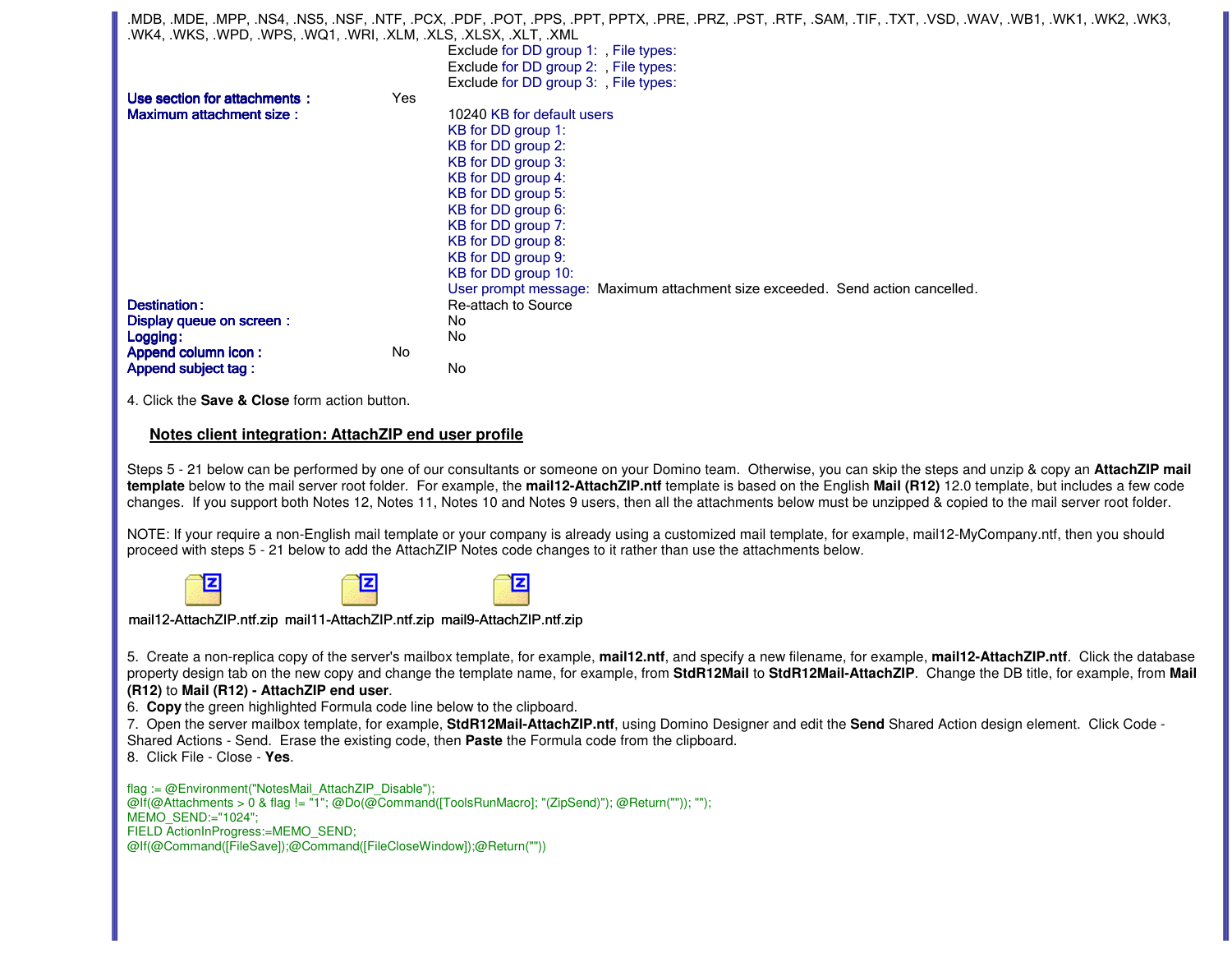.MDB, .MDE, .MPP, .NS4, .NS5, .NSF, .NTF, .PCX, .PDF, .POT, .PPS, .PPT, PPTX, .PRE, .PRZ, .PST, .RTF, .SAM, .TIF, .TXT, .VSD, .WAV, .WB1, .WK1, .WK2, .WK3, .WK4, .WKS, .WPD, .WPS, .WQ1, .WRI, .XLM, .XLS, .XLSX, .XLT, .XML Exclude for DD group 1: , File types: Exclude for DD group 2: , File types: Exclude for DD group 3: , File types: Use section for attachments : :YesMaximum attachment size : 10240 KB for default users KB for DD group 1: KB for DD group 2: KB for DD group 3: KB for DD group 4: KB for DD group 5: KB for DD group 6: KB for DD group 7: KB for DD group 8: KB for DD group 9: KB for DD group 10: User prompt message: Maximum attachment size exceeded. Send action cancelled.Destination: Re-attach to Source<br>No Display queue on screen : **n** : No. 2016 Logging : Logging:NoAppend column icon : n: No Append subject tag : g: No 4. Click the **Save & Close** form action button.**Notes client integration: AttachZIP end user profile**Steps 5 - 21 below can be performed by one of our consultants or someone on your Domino team. Otherwise, you can skip the steps and unzip & copy an AttachZIP mail **template** below to the mail server root folder. For example, the **mail12-AttachZIP.ntf** template is based on the English **Mail (R12)** 12.0 template, but includes a few code changes. If you support both Notes 12, Notes 11, Notes 10 and Notes 9 users, then all the attachments below must be unzipped & copied to the mail server root folder.NOTE: If your require a non-English mail template or your company is already using a customized mail template, for example, mail12-MyCompany.ntf, then you should proceed with steps 5 - 21 below to add the AttachZIP Notes code changes to it rather than use the attachments below.

日



mail12-AttachZIP.ntf.zip mail11-AttachZIP.ntf.zip mail9-AttachZIP.ntf.zip

冝

5. Create a non-replica copy of the server's mailbox template, for example, **mail12.ntf**, and specify a new filename, for example, **mail12-AttachZIP.ntf**. Click the database property design tab on the new copy and change the template name, for example, from **StdR12Mail** to **StdR12Mail-AttachZIP**. Change the DB title, for example, from **Mail** 

## **(R12)** to **Mail (R12) - AttachZIP end user**.

6. **Copy** the green highlighted Formula code line below to the clipboard.

 7. Open the server mailbox template, for example, **StdR12Mail-AttachZIP.ntf**, using Domino Designer and edit the **Send** Shared Action design element. Click Code - Shared Actions - Send. Erase the existing code, then **Paste** the Formula code from the clipboard.

8. Click File - Close - **Yes**.

flag := @Environment("NotesMail\_AttachZIP\_Disable"); @If(@Attachments > 0 & flag != "1"; @Do(@Command([ToolsRunMacro]; "(ZipSend)"); @Return("")); "");MEMO\_SEND:="1024"; FIELD ActionInProgress:=MEMO\_SEND;@If(@Command([FileSave]);@Command([FileCloseWindow]);@Return(""))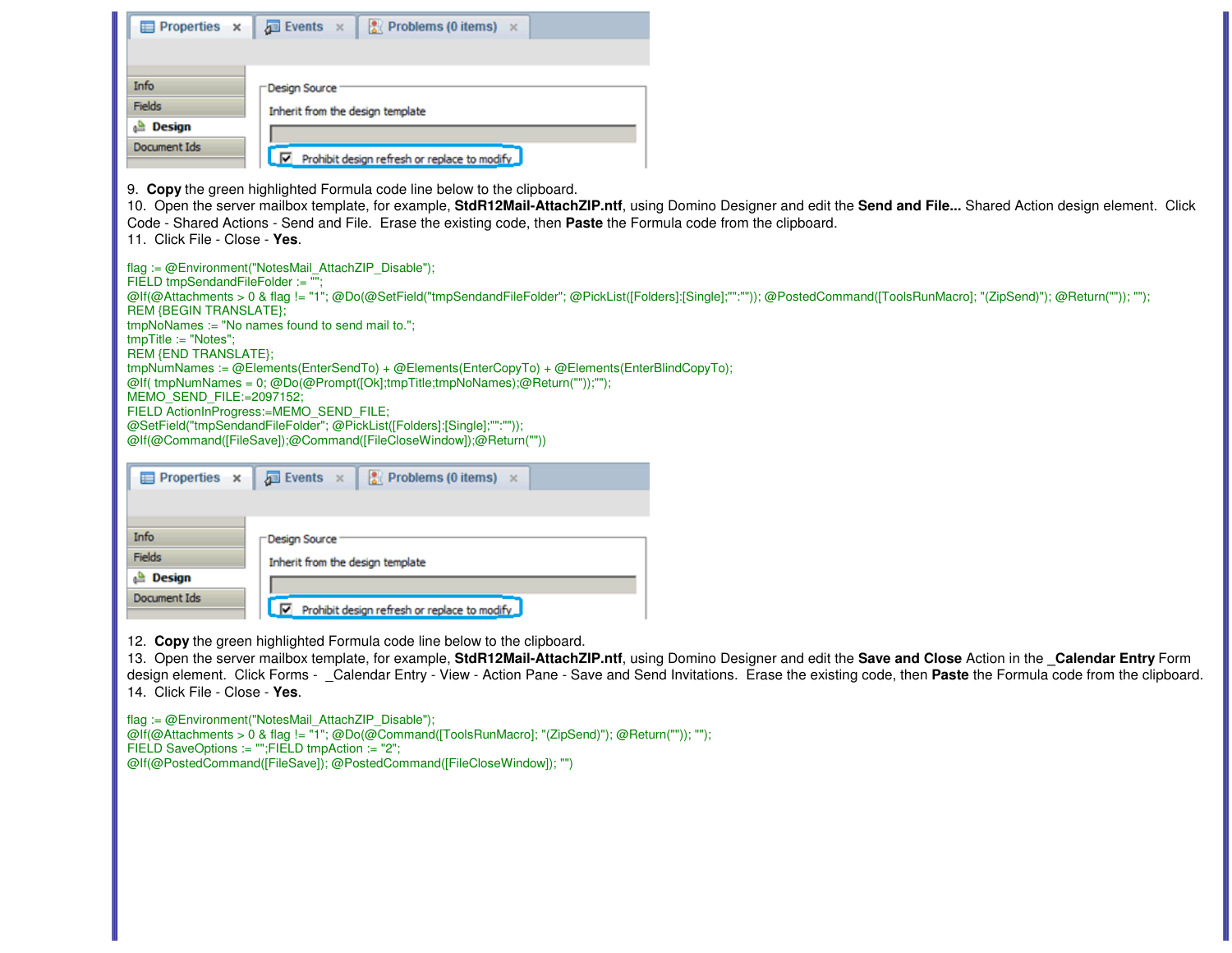| Properties x                      | <b>Problems (0 items)</b> $\times$<br>$\sqrt{2}$ Events $\times$                                                                                                                                                                                                                                                                                                                                                         |
|-----------------------------------|--------------------------------------------------------------------------------------------------------------------------------------------------------------------------------------------------------------------------------------------------------------------------------------------------------------------------------------------------------------------------------------------------------------------------|
|                                   |                                                                                                                                                                                                                                                                                                                                                                                                                          |
|                                   |                                                                                                                                                                                                                                                                                                                                                                                                                          |
| Info<br>Fields                    | Design Source                                                                                                                                                                                                                                                                                                                                                                                                            |
| $\triangle$ Design                | Inherit from the design template                                                                                                                                                                                                                                                                                                                                                                                         |
| Document Ids                      |                                                                                                                                                                                                                                                                                                                                                                                                                          |
|                                   | $\boxed{\mathbf{v}}$ Prohibit design refresh or replace to modify                                                                                                                                                                                                                                                                                                                                                        |
| 11. Click File - Close - Yes.     | 9. Copy the green highlighted Formula code line below to the clipboard.<br>10. Open the server mailbox template, for example, StdR12Mail-AttachZIP.ntf, using Domino Designer and edit the Send and File Shared Action design element. Click<br>Code - Shared Actions - Send and File. Erase the existing code, then Paste the Formula code from the clipboard.                                                          |
|                                   | flag := @Environment("NotesMail_AttachZIP_Disable");                                                                                                                                                                                                                                                                                                                                                                     |
| FIELD tmpSendandFileFolder := ""; |                                                                                                                                                                                                                                                                                                                                                                                                                          |
| <b>REM {BEGIN TRANSLATE};</b>     | @If(@Attachments > 0 & flag != "1"; @Do(@SetField("tmpSendandFileFolder"; @PickList([Folders]:[Single];"":"")); @PostedCommand([ToolsRunMacro]; "(ZipSend)"); @Return("")); "");                                                                                                                                                                                                                                         |
| $tmpTitle := "Notes";$            | tmpNoNames := "No names found to send mail to.";                                                                                                                                                                                                                                                                                                                                                                         |
| REM {END TRANSLATE};              |                                                                                                                                                                                                                                                                                                                                                                                                                          |
|                                   | tmpNumNames := @Elements(EnterSendTo) + @Elements(EnterCopyTo) + @Elements(EnterBlindCopyTo);<br>@If( tmpNumNames = 0; @Do(@Prompt([Ok];tmpTitle;tmpNoNames);@Return(""));"");                                                                                                                                                                                                                                           |
| MEMO_SEND_FILE:=2097152;          |                                                                                                                                                                                                                                                                                                                                                                                                                          |
|                                   | FIELD ActionInProgress:=MEMO_SEND_FILE;<br>@SetField("tmpSendandFileFolder"; @PickList([Folders]:[Single];"":""));                                                                                                                                                                                                                                                                                                       |
|                                   | @If(@Command([FileSave]);@Command([FileCloseWindow]);@Return(""))                                                                                                                                                                                                                                                                                                                                                        |
|                                   |                                                                                                                                                                                                                                                                                                                                                                                                                          |
| Properties x                      | $\sqrt{2}$ Events $\times$<br>Problems (0 items) $\times$                                                                                                                                                                                                                                                                                                                                                                |
|                                   |                                                                                                                                                                                                                                                                                                                                                                                                                          |
| Info                              |                                                                                                                                                                                                                                                                                                                                                                                                                          |
| Fields                            | Design Source                                                                                                                                                                                                                                                                                                                                                                                                            |
| <b>Design</b>                     | Inherit from the design template                                                                                                                                                                                                                                                                                                                                                                                         |
| Document Ids                      |                                                                                                                                                                                                                                                                                                                                                                                                                          |
|                                   | Prohibit design refresh or replace to modify                                                                                                                                                                                                                                                                                                                                                                             |
| 14. Click File - Close - Yes.     | 12. Copy the green highlighted Formula code line below to the clipboard.<br>13. Open the server mailbox template, for example, StdR12Mail-AttachZIP.ntf, using Domino Designer and edit the Save and Close Action in the _Calendar Entry Form<br>design element. Click Forms - Calendar Entry - View - Action Pane - Save and Send Invitations. Erase the existing code, then Paste the Formula code from the clipboard. |
|                                   | flag := @Environment("NotesMail_AttachZIP_Disable");<br>@lf(@Attachments > 0 & flag != "1"; @Do(@Command([ToolsRunMacro]; "(ZipSend)"); @Return("")); "");<br>FIELD SaveOptions := "";FIELD tmpAction := "2";<br>@If(@PostedCommand([FileSave]); @PostedCommand([FileCloseWindow]); "")                                                                                                                                  |
|                                   |                                                                                                                                                                                                                                                                                                                                                                                                                          |
|                                   |                                                                                                                                                                                                                                                                                                                                                                                                                          |
|                                   |                                                                                                                                                                                                                                                                                                                                                                                                                          |
|                                   |                                                                                                                                                                                                                                                                                                                                                                                                                          |
|                                   |                                                                                                                                                                                                                                                                                                                                                                                                                          |
|                                   |                                                                                                                                                                                                                                                                                                                                                                                                                          |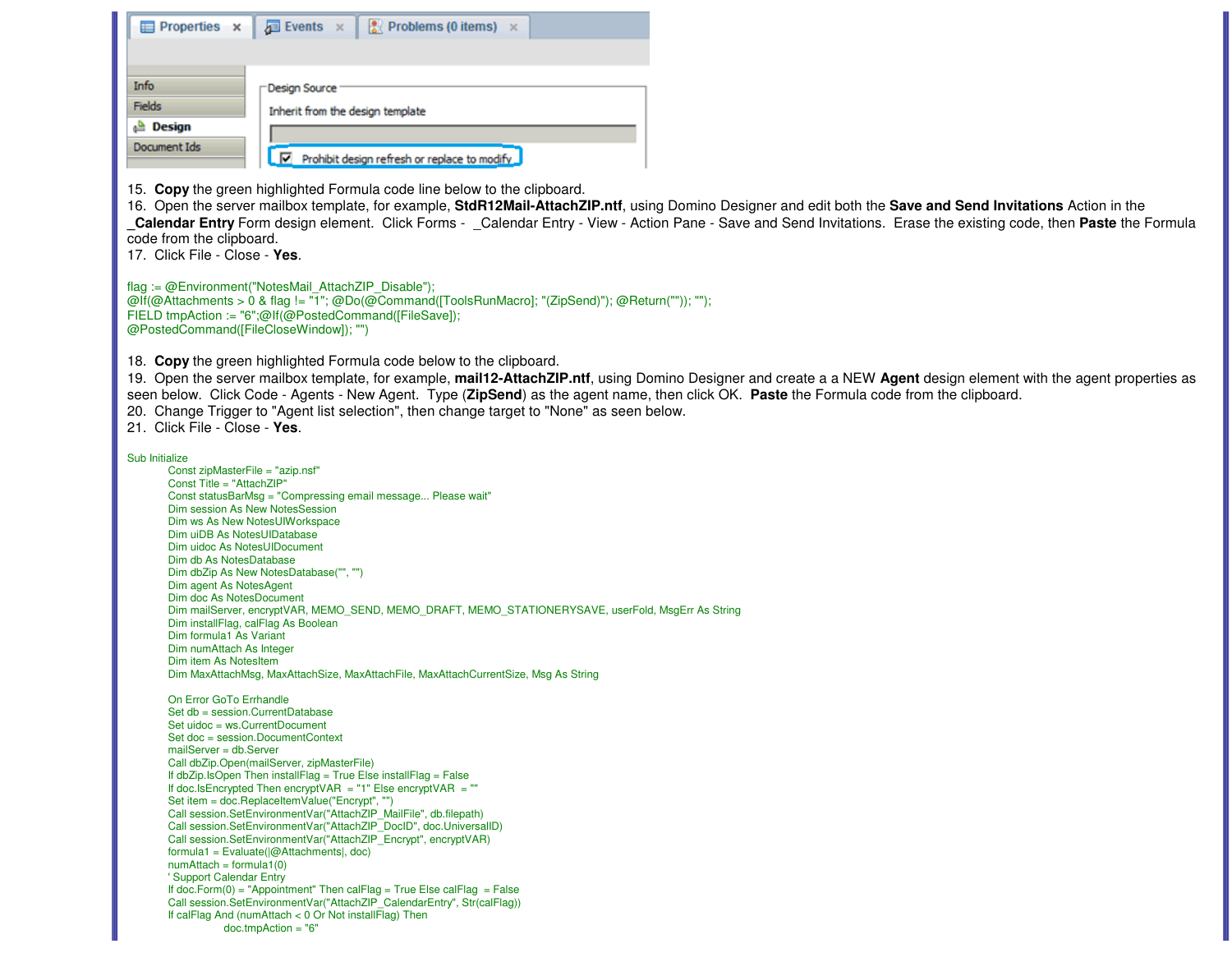| Properties x                                                                                                                                                                                                                                                                                                                                                                                                                                                                                                                                                                                                                                                                                                                                                                                                          | $\sqrt{2}$ Events $\times$<br><b>Problems (0 items)</b> $\times$                                                                                                                                                                                                                                                                                                                                                                                                                                                                                                                                                                                                                                                                                                                                                                                                                  |                                                                                                                                                                                                                                                                                                                                    |
|-----------------------------------------------------------------------------------------------------------------------------------------------------------------------------------------------------------------------------------------------------------------------------------------------------------------------------------------------------------------------------------------------------------------------------------------------------------------------------------------------------------------------------------------------------------------------------------------------------------------------------------------------------------------------------------------------------------------------------------------------------------------------------------------------------------------------|-----------------------------------------------------------------------------------------------------------------------------------------------------------------------------------------------------------------------------------------------------------------------------------------------------------------------------------------------------------------------------------------------------------------------------------------------------------------------------------------------------------------------------------------------------------------------------------------------------------------------------------------------------------------------------------------------------------------------------------------------------------------------------------------------------------------------------------------------------------------------------------|------------------------------------------------------------------------------------------------------------------------------------------------------------------------------------------------------------------------------------------------------------------------------------------------------------------------------------|
| Info                                                                                                                                                                                                                                                                                                                                                                                                                                                                                                                                                                                                                                                                                                                                                                                                                  | Design Source                                                                                                                                                                                                                                                                                                                                                                                                                                                                                                                                                                                                                                                                                                                                                                                                                                                                     |                                                                                                                                                                                                                                                                                                                                    |
| Fields                                                                                                                                                                                                                                                                                                                                                                                                                                                                                                                                                                                                                                                                                                                                                                                                                | Inherit from the design template                                                                                                                                                                                                                                                                                                                                                                                                                                                                                                                                                                                                                                                                                                                                                                                                                                                  |                                                                                                                                                                                                                                                                                                                                    |
| $\triangle$ Design                                                                                                                                                                                                                                                                                                                                                                                                                                                                                                                                                                                                                                                                                                                                                                                                    |                                                                                                                                                                                                                                                                                                                                                                                                                                                                                                                                                                                                                                                                                                                                                                                                                                                                                   |                                                                                                                                                                                                                                                                                                                                    |
| Document Ids                                                                                                                                                                                                                                                                                                                                                                                                                                                                                                                                                                                                                                                                                                                                                                                                          | Prohibit design refresh or replace to modify                                                                                                                                                                                                                                                                                                                                                                                                                                                                                                                                                                                                                                                                                                                                                                                                                                      |                                                                                                                                                                                                                                                                                                                                    |
| code from the clipboard.<br>17. Click File - Close - Yes.                                                                                                                                                                                                                                                                                                                                                                                                                                                                                                                                                                                                                                                                                                                                                             | 15. Copy the green highlighted Formula code line below to the clipboard.                                                                                                                                                                                                                                                                                                                                                                                                                                                                                                                                                                                                                                                                                                                                                                                                          | 16. Open the server mailbox template, for example, StdR12Mail-AttachZIP.ntf, using Domino Designer and edit both the Save and Send Invitations Action in the<br>Calendar Entry Form design element. Click Forms - Calendar Entry - View - Action Pane - Save and Send Invitations. Erase the existing code, then Paste the Formula |
| @PostedCommand([FileCloseWindow]); "")                                                                                                                                                                                                                                                                                                                                                                                                                                                                                                                                                                                                                                                                                                                                                                                | flag := @Environment("NotesMail_AttachZIP_Disable");<br>@If(@Attachments > 0 & flag != "1"; @Do(@Command([ToolsRunMacro]; "(ZipSend)"); @Return("")); "");<br>FIELD tmpAction := "6";@If(@PostedCommand([FileSave]);                                                                                                                                                                                                                                                                                                                                                                                                                                                                                                                                                                                                                                                              |                                                                                                                                                                                                                                                                                                                                    |
| 21. Click File - Close - Yes.                                                                                                                                                                                                                                                                                                                                                                                                                                                                                                                                                                                                                                                                                                                                                                                         | 18. Copy the green highlighted Formula code below to the clipboard.<br>seen below. Click Code - Agents - New Agent. Type (ZipSend) as the agent name, then click OK. Paste the Formula code from the clipboard.<br>20. Change Trigger to "Agent list selection", then change target to "None" as seen below.                                                                                                                                                                                                                                                                                                                                                                                                                                                                                                                                                                      | 19. Open the server mailbox template, for example, mail12-AttachZIP.ntf, using Domino Designer and create a a NEW Agent design element with the agent properties as                                                                                                                                                                |
| Sub Initialize<br>Const zipMasterFile = "azip.nsf"<br>Const Title = "AttachZIP"<br>Dim session As New NotesSession<br>Dim ws As New NotesUIWorkspace<br>Dim uiDB As NotesUIDatabase<br>Dim uidoc As NotesUIDocument<br>Dim db As NotesDatabase<br>Dim dbZip As New NotesDatabase("", "")<br>Dim agent As NotesAgent<br>Dim doc As NotesDocument<br>Dim installFlag, calFlag As Boolean<br>Dim formula1 As Variant<br>Dim numAttach As Integer<br>Dim item As NotesItem<br>On Error GoTo Errhandle<br>Set db = session.CurrentDatabase<br>Set uidoc = ws.CurrentDocument<br>Set doc = session.DocumentContext<br>mailServer = db.Server<br>Call dbZip.Open(mailServer, zipMasterFile)<br>$formula1 = Evaluate( @Attachusetts , doc)$<br>$numAttack = formula1(0)$<br>' Support Calendar Entry<br>$doc.tmpAction = "6"$ | Const statusBarMsg = "Compressing email message Please wait"<br>Dim mailServer, encryptVAR, MEMO_SEND, MEMO_DRAFT, MEMO_STATIONERYSAVE, userFold, MsgErr As String<br>Dim MaxAttachMsg, MaxAttachSize, MaxAttachFile, MaxAttachCurrentSize, Msg As String<br>If dbZip.IsOpen Then installFlag = True Else installFlag = False<br>If doc.IsEncrypted Then encryptVAR = "1" Else encryptVAR = ""<br>Set item = doc.ReplaceItemValue("Encrypt", "")<br>Call session.SetEnvironmentVar("AttachZIP MailFile", db.filepath)<br>Call session.SetEnvironmentVar("AttachZIP DocID", doc.UniversalID)<br>Call session.SetEnvironmentVar("AttachZIP_Encrypt", encryptVAR)<br>If doc. Form(0) = "Appointment" Then calFlag = True Else calFlag = False<br>Call session.SetEnvironmentVar("AttachZIP CalendarEntry", Str(calFlag))<br>If calFlag And (numAttach $<$ 0 Or Not installFlag) Then |                                                                                                                                                                                                                                                                                                                                    |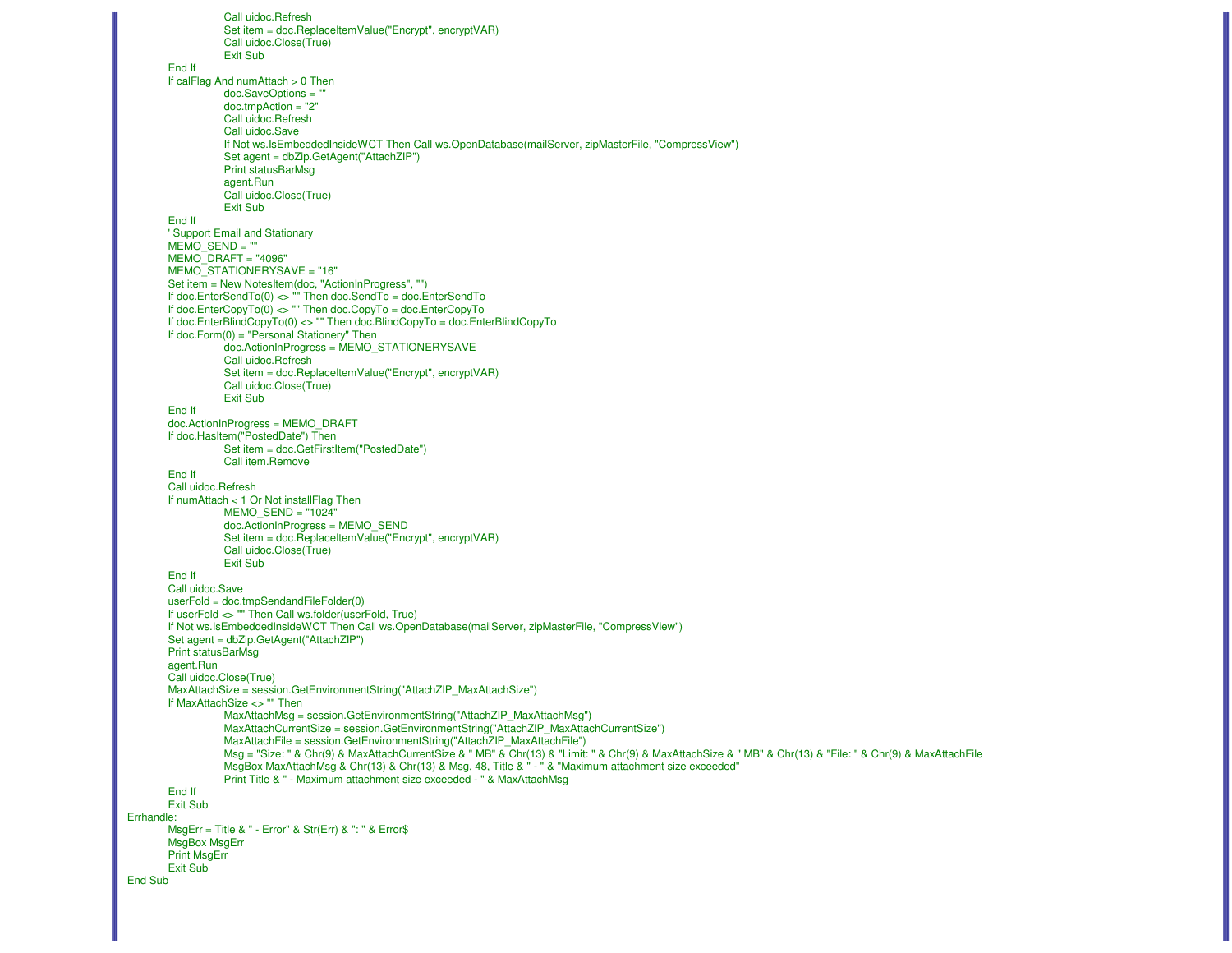Call uidoc.Refresh Set item = doc.ReplaceItemValue("Encrypt", encryptVAR)Call uidoc.Close(True)Exit SubEnd If If calFlag And numAttach > 0 Thendoc.SaveOptions = ""doc.tmpAction = "2" Call uidoc.RefreshCall uidoc.Save If Not ws.IsEmbeddedInsideWCT Then Call ws.OpenDatabase(mailServer, zipMasterFile, "CompressView")Set agent = dbZip.GetAgent("AttachZIP")Print statusBarMsg agent.Run Call uidoc.Close(True) Exit Sub End If ' Support Email and Stationary  $MEMO$  SEND = "" MEMO\_DRAFT = "4096" MEMO\_STATIONERYSAVE = "16" Set item = New NotesItem(doc, "ActionInProgress", "") If doc.EnterSendTo(0) <> "" Then doc.SendTo = doc.EnterSendTo If doc.EnterCopyTo(0) <> "" Then doc.CopyTo = doc.EnterCopyTo If doc.EnterBlindCopyTo(0) <> "" Then doc.BlindCopyTo = doc.EnterBlindCopyToIf doc.Form(0) = "Personal Stationery" Then doc.ActionInProgress = MEMO\_STATIONERYSAVECall uidoc.Refresh Set item = doc.ReplaceItemValue("Encrypt", encryptVAR)Call uidoc.Close(True)Exit SubEnd If doc.ActionInProgress = MEMO\_DRAFT If doc.HasItem("PostedDate") Then Set item = doc.GetFirstItem("PostedDate")Call item.Remove End If Call uidoc.Refresh If numAttach < 1 Or Not installFlag Then MEMO\_SEND = "1024" doc.ActionInProgress = MEMO\_SEND Set item = doc.ReplaceItemValue("Encrypt", encryptVAR)Call uidoc.Close(True)Exit Sub End If Call uidoc.Save userFold = doc.tmpSendandFileFolder(0) If userFold <> "" Then Call ws.folder(userFold, True) If Not ws.IsEmbeddedInsideWCT Then Call ws.OpenDatabase(mailServer, zipMasterFile, "CompressView")Set agent = dbZip.GetAgent("AttachZIP")Print statusBarMsg agent.Run Call uidoc.Close(True) MaxAttachSize = session.GetEnvironmentString("AttachZIP\_MaxAttachSize")If MaxAttachSize <> "" Then MaxAttachMsg = session.GetEnvironmentString("AttachZIP\_MaxAttachMsg") MaxAttachCurrentSize = session.GetEnvironmentString("AttachZIP\_MaxAttachCurrentSize")MaxAttachFile = session.GetEnvironmentString("AttachZIP\_MaxAttachFile") Msg = "Size: " & Chr(9) & MaxAttachCurrentSize & " MB" & Chr(13) & "Limit: " & Chr(9) & MaxAttachSize & " MB" & Chr(13) & "File: " & Chr(9) & MaxAttachFile MsgBox MaxAttachMsg & Chr(13) & Chr(13) & Msg, 48, Title & " - " & "Maximum attachment size exceeded"Print Title & " - Maximum attachment size exceeded - " & MaxAttachMsg End If Exit Sub Errhandle: MsgErr = Title & " - Error" & Str(Err) & ": " & Error\$MsgBox MsgErrPrint MsgErrExit Sub End Sub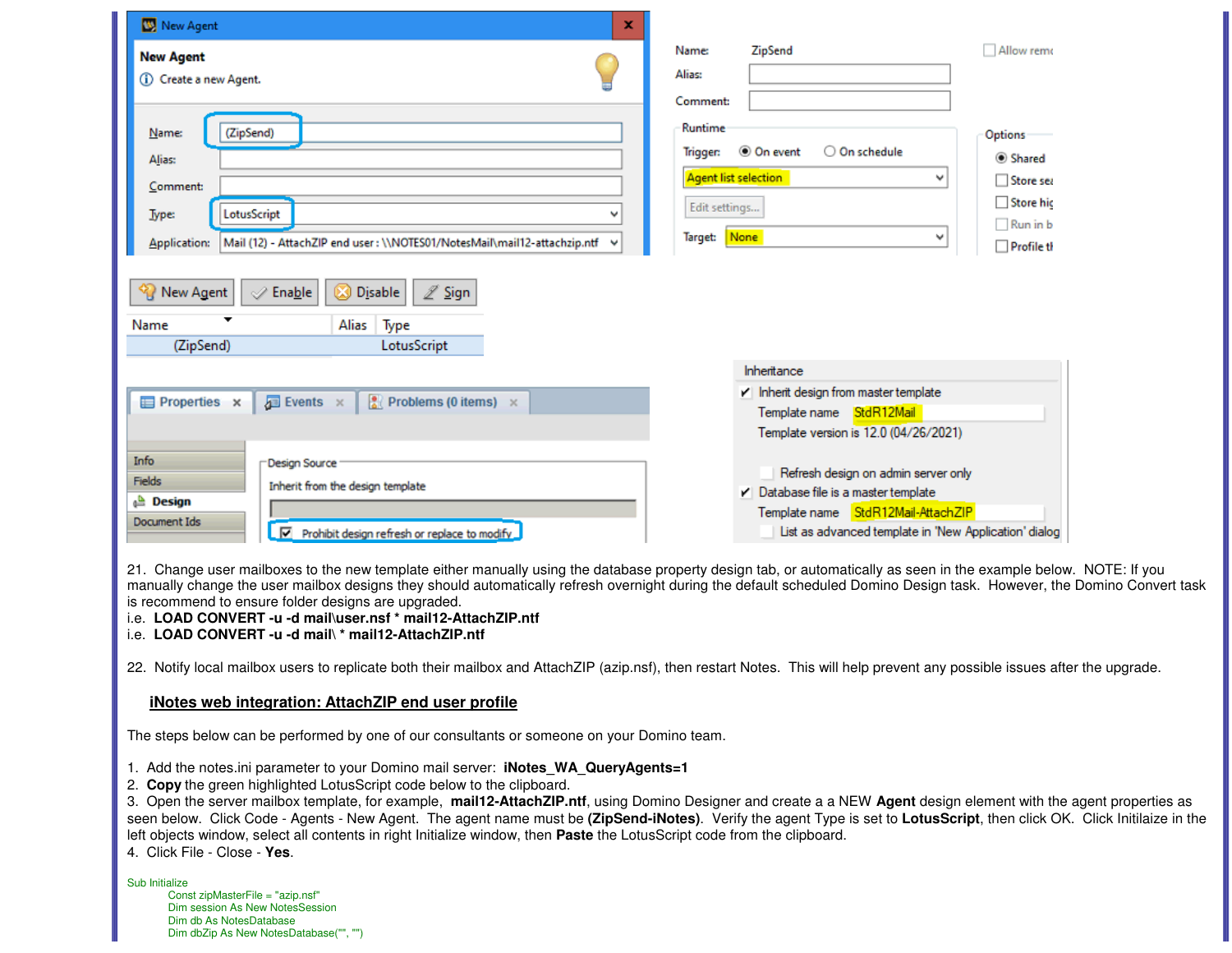| New Agent<br>×                                                                                                                                                                                                                                                                                                           |                                                                                                                                                                                                                                                                                                                                                 |
|--------------------------------------------------------------------------------------------------------------------------------------------------------------------------------------------------------------------------------------------------------------------------------------------------------------------------|-------------------------------------------------------------------------------------------------------------------------------------------------------------------------------------------------------------------------------------------------------------------------------------------------------------------------------------------------|
| <b>New Agent</b>                                                                                                                                                                                                                                                                                                         | Allow remo<br>ZipSend<br><b>Name:</b>                                                                                                                                                                                                                                                                                                           |
| (i) Create a new Agent.                                                                                                                                                                                                                                                                                                  | Alias:                                                                                                                                                                                                                                                                                                                                          |
|                                                                                                                                                                                                                                                                                                                          | <b>Comment:</b>                                                                                                                                                                                                                                                                                                                                 |
| (ZipSend)<br><u>N</u> ame:                                                                                                                                                                                                                                                                                               | Runtime<br>Options                                                                                                                                                                                                                                                                                                                              |
| Alias:                                                                                                                                                                                                                                                                                                                   | <b>◎</b> On event<br>○ On schedule<br><b>Trigger:</b><br>Shared                                                                                                                                                                                                                                                                                 |
| Comment:                                                                                                                                                                                                                                                                                                                 | <b>Agent list selection</b><br>٧<br>Store sea                                                                                                                                                                                                                                                                                                   |
| LotusScript<br>Type:                                                                                                                                                                                                                                                                                                     | Store hic<br>Edit settings                                                                                                                                                                                                                                                                                                                      |
| Mail (12) - AttachZIP end user: \\NOTES01/NotesMail\mail12-attachzip.ntf<br>Application:                                                                                                                                                                                                                                 | Run in b<br>None<br>Target:<br>v<br>$\Box$ Profile th                                                                                                                                                                                                                                                                                           |
|                                                                                                                                                                                                                                                                                                                          |                                                                                                                                                                                                                                                                                                                                                 |
| <b>D</b> isable<br>$\mathbb Z$ Sign<br><b>New Agent</b><br>$\mathscr{D}$ Enable                                                                                                                                                                                                                                          |                                                                                                                                                                                                                                                                                                                                                 |
| Type<br>Alias<br>Name                                                                                                                                                                                                                                                                                                    |                                                                                                                                                                                                                                                                                                                                                 |
| (ZipSend)<br>LotusScript                                                                                                                                                                                                                                                                                                 |                                                                                                                                                                                                                                                                                                                                                 |
|                                                                                                                                                                                                                                                                                                                          | Inheritance                                                                                                                                                                                                                                                                                                                                     |
| $\sqrt{\frac{6}{6}}$ Problems (0 items) $\times$<br>$\sqrt{2}$ Events $\times$<br>Properties x                                                                                                                                                                                                                           | Inherit design from master template                                                                                                                                                                                                                                                                                                             |
|                                                                                                                                                                                                                                                                                                                          | Template name StdR12Mail<br>Template version is 12.0 (04/26/2021)                                                                                                                                                                                                                                                                               |
| Info                                                                                                                                                                                                                                                                                                                     |                                                                                                                                                                                                                                                                                                                                                 |
| Design Source<br>Fields                                                                                                                                                                                                                                                                                                  | Refresh design on admin server only                                                                                                                                                                                                                                                                                                             |
| Inherit from the design template<br><b>Design</b>                                                                                                                                                                                                                                                                        | Database file is a master template                                                                                                                                                                                                                                                                                                              |
| Document Ids<br>Prohibit design refresh or replace to modify                                                                                                                                                                                                                                                             | Template name StdR12Mail-AttachZIP<br>List as advanced template in 'New Application' dialog                                                                                                                                                                                                                                                     |
|                                                                                                                                                                                                                                                                                                                          |                                                                                                                                                                                                                                                                                                                                                 |
| is recommend to ensure folder designs are upgraded.<br>i.e. LOAD CONVERT -u -d mail\user.nsf * mail12-AttachZIP.ntf<br>i.e. LOAD CONVERT -u -d mail\ * mail12-AttachZIP.ntf                                                                                                                                              | 21. Change user mailboxes to the new template either manually using the database property design tab, or automatically as seen in the example below. NOTE: If you<br>manually change the user mailbox designs they should automatically refresh overnight during the default scheduled Domino Design task. However, the Domino Convert task     |
| 22. Notify local mailbox users to replicate both their mailbox and AttachZIP (azip.nsf), then restart Notes. This will help prevent any possible issues after the upgrade.                                                                                                                                               |                                                                                                                                                                                                                                                                                                                                                 |
| iNotes web integration: AttachZIP end user profile                                                                                                                                                                                                                                                                       |                                                                                                                                                                                                                                                                                                                                                 |
| The steps below can be performed by one of our consultants or someone on your Domino team.                                                                                                                                                                                                                               |                                                                                                                                                                                                                                                                                                                                                 |
| 1. Add the notes.ini parameter to your Domino mail server: iNotes WA QueryAgents=1<br>2. Copy the green highlighted LotusScript code below to the clipboard.<br>left objects window, select all contents in right Initialize window, then Paste the LotusScript code from the clipboard.<br>4. Click File - Close - Yes. | 3. Open the server mailbox template, for example, mail12-AttachZIP.ntf, using Domino Designer and create a a NEW Agent design element with the agent properties as<br>seen below. Click Code - Agents - New Agent. The agent name must be (ZipSend-iNotes). Verify the agent Type is set to LotusScript, then click OK. Click Initilaize in the |
| Sub Initialize<br>Const zipMasterFile = "azip.nsf"<br>Dim session As New NotesSession<br>Dim db As NotesDatabase<br>Dim dbZip As New NotesDatabase("", "")                                                                                                                                                               |                                                                                                                                                                                                                                                                                                                                                 |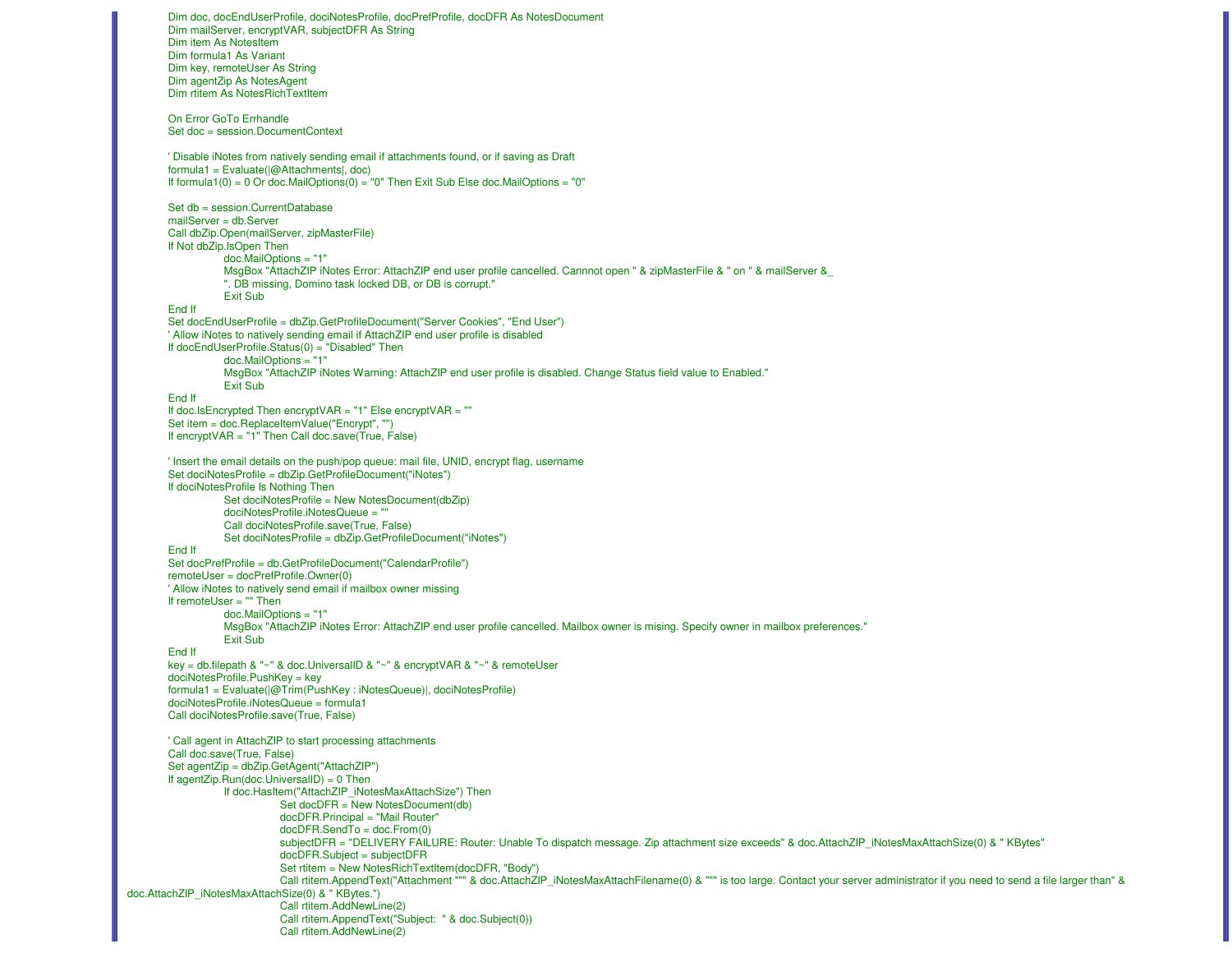Dim doc, docEndUserProfile, dociNotesProfile, docPrefProfile, docDFR As NotesDocumentDim mailServer, encryptVAR, subjectDFR As StringDim item As NotesItem Dim formula1 As Variant Dim key, remoteUser As StringDim agentZip As NotesAgent Dim rtitem As NotesRichTextItemOn Error GoTo Errhandle Set doc = session.DocumentContext' Disable iNotes from natively sending email if attachments found, or if saving as Draftformula1 = Evaluate(|@Attachments|, doc) If formula1(0) = 0 Or doc.MailOptions(0) = "0" Then Exit Sub Else doc.MailOptions = "0"Set db = session.CurrentDatabasemailServer = db.Server Call dbZip.Open(mailServer, zipMasterFile)If Not dbZip.IsOpen Then doc.MailOptions = "1" MsgBox "AttachZIP iNotes Error: AttachZIP end user profile cancelled. Cannnot open " & zipMasterFile & " on " & mailServer &\_". DB missing, Domino task locked DB, or DB is corrupt." Exit Sub End If Set docEndUserProfile = dbZip.GetProfileDocument("Server Cookies", "End User")' Allow iNotes to natively sending email if AttachZIP end user profile is disabledIf docEndUserProfile.Status(0) = "Disabled" Then doc.MailOptions = "1" MsgBox "AttachZIP iNotes Warning: AttachZIP end user profile is disabled. Change Status field value to Enabled."Exit SubEnd If If doc.IsEncrypted Then encryptVAR = "1" Else encryptVAR = "" Set item = doc.ReplaceItemValue("Encrypt", "") If encryptVAR = "1" Then Call doc.save(True, False)' Insert the email details on the push/pop queue: mail file, UNID, encrypt flag, usernameSet dociNotesProfile = dbZip.GetProfileDocument("iNotes")If dociNotesProfile Is Nothing Then Set dociNotesProfile = New NotesDocument(dbZip)dociNotesProfile.iNotesQueue = "" Call dociNotesProfile.save(True, False) Set dociNotesProfile = dbZip.GetProfileDocument("iNotes")End If Set docPrefProfile = db.GetProfileDocument("CalendarProfile")remoteUser = docPrefProfile.Owner(0) ' Allow iNotes to natively send email if mailbox owner missingIf remoteUser = "" Then doc.MailOptions = "1" MsgBox "AttachZIP iNotes Error: AttachZIP end user profile cancelled. Mailbox owner is mising. Specify owner in mailbox preferences."Exit SubEnd If key = db.filepath & "~" & doc.UniversalID & "~" & encryptVAR & "~" & remoteUser dociNotesProfile.PushKey = key formula1 = Evaluate(|@Trim(PushKey : iNotesQueue)|, dociNotesProfile)dociNotesProfile.iNotesQueue = formula1Call dociNotesProfile.save(True, False)' Call agent in AttachZIP to start processing attachmentsCall doc.save(True, False) Set agentZip = dbZip.GetAgent("AttachZIP")If agentZip.Run(doc.UniversalID) = 0 Then If doc.HasItem("AttachZIP\_iNotesMaxAttachSize") Then Set docDFR = New NotesDocument(db)docDFR.Principal = "Mail Router"docDFR.SendTo = doc.From(0) subjectDFR = "DELIVERY FAILURE: Router: Unable To dispatch message. Zip attachment size exceeds" & doc.AttachZIP\_iNotesMaxAttachSize(0) & " KBytes"docDFR.Subject = subjectDFR Set rtitem = New NotesRichTextItem(docDFR, "Body")Call rtitem.AppendText("Attachment """ & doc.AttachZIP\_iNotesMaxAttachFilename(0) & """ is too large. Contact your server administrator if you need to send a file larger than" & doc.AttachZIP\_iNotesMaxAttachSize(0) & " KBytes.") Call rtitem.AddNewLine(2) Call rtitem.AppendText("Subject: " & doc.Subject(0))Call rtitem.AddNewLine(2)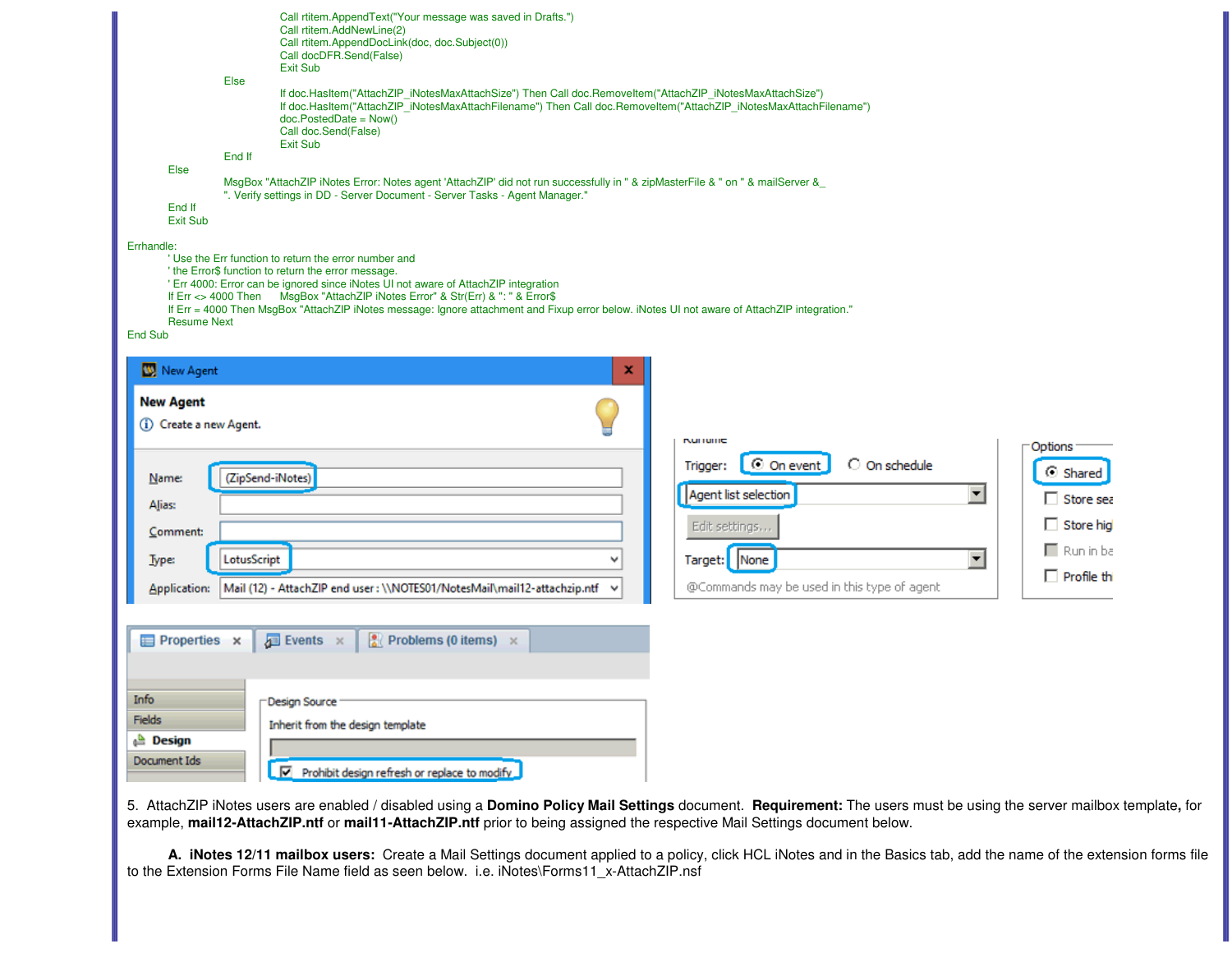|                                             | Call rtitem.AppendText("Your message was saved in Drafts.")<br>Call rtitem.AddNewLine(2)<br>Call rtitem.AppendDocLink(doc, doc.Subject(0))<br>Call docDFR.Send(False)<br>Exit Sub                                                                                                                                                                                                                                                     |                                          |  |
|---------------------------------------------|---------------------------------------------------------------------------------------------------------------------------------------------------------------------------------------------------------------------------------------------------------------------------------------------------------------------------------------------------------------------------------------------------------------------------------------|------------------------------------------|--|
|                                             | <b>Else</b><br>If doc.HasItem("AttachZIP_iNotesMaxAttachSize") Then Call doc.RemoveItem("AttachZIP_iNotesMaxAttachSize")<br>If doc.HasItem("AttachZIP iNotesMaxAttachFilename") Then Call doc.RemoveItem("AttachZIP iNotesMaxAttachFilename")<br>$doc.PostedDate = Now()$<br>Call doc.Send(False)<br><b>Exit Sub</b>                                                                                                                  |                                          |  |
|                                             | End If                                                                                                                                                                                                                                                                                                                                                                                                                                |                                          |  |
| Else                                        | MsgBox "AttachZIP iNotes Error: Notes agent 'AttachZIP' did not run successfully in " & zipMasterFile & " on " & mailServer &                                                                                                                                                                                                                                                                                                         |                                          |  |
| End If<br><b>Exit Sub</b>                   | ". Verify settings in DD - Server Document - Server Tasks - Agent Manager."                                                                                                                                                                                                                                                                                                                                                           |                                          |  |
| <b>Resume Next</b><br>End Sub               | 'Use the Err function to return the error number and<br>' the Error\$ function to return the error message.<br>' Err 4000: Error can be ignored since iNotes UI not aware of AttachZIP integration<br>If Err <> 4000 Then MsgBox "AttachZIP iNotes Error" & Str(Err) & ": " & Error\$<br>If Err = 4000 Then MsgBox "AttachZIP iNotes message: Ignore attachment and Fixup error below. iNotes UI not aware of AttachZIP integration." |                                          |  |
| New Agent                                   | x                                                                                                                                                                                                                                                                                                                                                                                                                                     |                                          |  |
| <b>New Agent</b><br>(i) Create a new Agent. | <b>KUHUHC</b>                                                                                                                                                                                                                                                                                                                                                                                                                         |                                          |  |
| Name:                                       | © On event<br>Trigger:<br>(ZipSend-iNotes)                                                                                                                                                                                                                                                                                                                                                                                            | Options<br>O On schedule<br>⊙ Shared     |  |
| Alias:                                      | Agent list selection                                                                                                                                                                                                                                                                                                                                                                                                                  | $\blacktriangledown$<br>$\Box$ Store sea |  |
| Comment:                                    | Edit settings                                                                                                                                                                                                                                                                                                                                                                                                                         | $\Box$ Store hig                         |  |
| <b>Type:</b>                                | Target: None<br>LotusScript<br>$\checkmark$                                                                                                                                                                                                                                                                                                                                                                                           | $\Box$ Run in ba<br>$\blacktriangledown$ |  |
|                                             |                                                                                                                                                                                                                                                                                                                                                                                                                                       | $\Box$ Profile thi                       |  |
| Application:                                | @Commands may be used in this type of agent<br>Mail (12) - AttachZIP end user : \\NOTES01/NotesMail\mail12-attachzip.ntf                                                                                                                                                                                                                                                                                                              |                                          |  |
| Properties x                                | $\frac{1}{2}$ Problems (0 items) $\times$<br>$\Box$ Events $\times$                                                                                                                                                                                                                                                                                                                                                                   |                                          |  |
| Info                                        |                                                                                                                                                                                                                                                                                                                                                                                                                                       |                                          |  |
| <b>Fields</b>                               | Design Source                                                                                                                                                                                                                                                                                                                                                                                                                         |                                          |  |
| <b>Design</b>                               | Inherit from the design template                                                                                                                                                                                                                                                                                                                                                                                                      |                                          |  |
| Document Ids                                | Prohibit design refresh or replace to modify                                                                                                                                                                                                                                                                                                                                                                                          |                                          |  |

5. AttachZIP iNotes users are enabled / disabled using a **Domino Policy Mail Settings** document. **Requirement:** The users must be using the server mailbox template, for<br>example, **mail12-AttachZIP.ntf** or **mail11-AttachZI** 

A. iNotes 12/11 mailbox users: Create a Mail Settings document applied to a policy, click HCL iNotes and in the Basics tab, add the name of the extension forms file<br>to the Extension Forms File Name field as seen below. i.e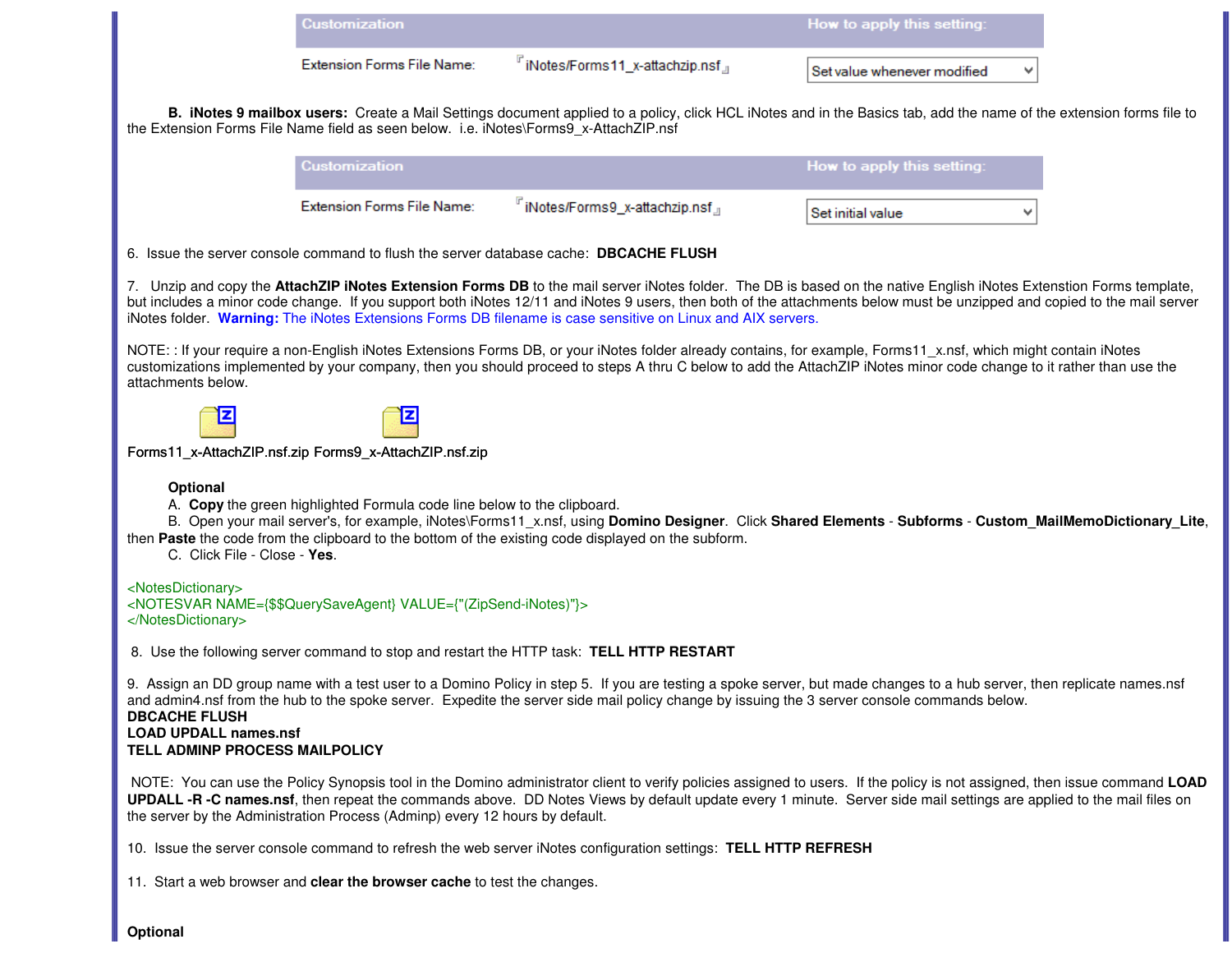|                                                                                        | <b>Customization</b>                                                                  |                                                                                                                                              | How to apply this setting:                                                                                                                                                                                                                                                                                                                        |  |
|----------------------------------------------------------------------------------------|---------------------------------------------------------------------------------------|----------------------------------------------------------------------------------------------------------------------------------------------|---------------------------------------------------------------------------------------------------------------------------------------------------------------------------------------------------------------------------------------------------------------------------------------------------------------------------------------------------|--|
|                                                                                        | Extension Forms File Name:                                                            | "iNotes/Forms11_x-attachzip.nsf』                                                                                                             | Set value whenever modified                                                                                                                                                                                                                                                                                                                       |  |
|                                                                                        | the Extension Forms File Name field as seen below. i.e. iNotes\Forms9_x-AttachZIP.nsf |                                                                                                                                              | B. iNotes 9 mailbox users: Create a Mail Settings document applied to a policy, click HCL iNotes and in the Basics tab, add the name of the extension forms file to                                                                                                                                                                               |  |
|                                                                                        | Customization                                                                         |                                                                                                                                              | How to apply this setting:                                                                                                                                                                                                                                                                                                                        |  |
|                                                                                        | <b>Extension Forms File Name:</b>                                                     | "iNotes/Forms9_x-attachzip.nsf』                                                                                                              | Set initial value                                                                                                                                                                                                                                                                                                                                 |  |
|                                                                                        |                                                                                       | 6. Issue the server console command to flush the server database cache: DBCACHE FLUSH                                                        |                                                                                                                                                                                                                                                                                                                                                   |  |
|                                                                                        |                                                                                       | iNotes folder. Warning: The iNotes Extensions Forms DB filename is case sensitive on Linux and AIX servers.                                  | 7. Unzip and copy the AttachZIP iNotes Extension Forms DB to the mail server iNotes folder. The DB is based on the native English iNotes Extenstion Forms template,<br>but includes a minor code change. If you support both iNotes 12/11 and iNotes 9 users, then both of the attachments below must be unzipped and copied to the mail server   |  |
| attachments below.                                                                     |                                                                                       |                                                                                                                                              | NOTE: : If your require a non-English iNotes Extensions Forms DB, or your iNotes folder already contains, for example, Forms11_x.nsf, which might contain iNotes<br>customizations implemented by your company, then you should proceed to steps A thru C below to add the AttachZIP iNotes minor code change to it rather than use the           |  |
|                                                                                        | Forms11_x-AttachZIP.nsf.zip Forms9_x-AttachZIP.nsf.zip                                |                                                                                                                                              |                                                                                                                                                                                                                                                                                                                                                   |  |
| Optional<br>C. Click File - Close - Yes.                                               | A. Copy the green highlighted Formula code line below to the clipboard.               | then Paste the code from the clipboard to the bottom of the existing code displayed on the subform.                                          | B. Open your mail server's, for example, iNotes\Forms11_x.nsf, using Domino Designer. Click Shared Elements - Subforms - Custom_MailMemoDictionary_Lite,                                                                                                                                                                                          |  |
| <notesdictionary><br/></notesdictionary>                                               | <notesvar name="{\$\$QuerySaveAgent}" value='{"(ZipSend-iNotes)"}'></notesvar>        |                                                                                                                                              |                                                                                                                                                                                                                                                                                                                                                   |  |
|                                                                                        |                                                                                       | 8. Use the following server command to stop and restart the HTTP task: TELL HTTP RESTART                                                     |                                                                                                                                                                                                                                                                                                                                                   |  |
| <b>DBCACHE FLUSH</b><br><b>LOAD UPDALL names.nsf</b><br>TELL ADMINP PROCESS MAILPOLICY |                                                                                       | and admin4.nsf from the hub to the spoke server. Expedite the server side mail policy change by issuing the 3 server console commands below. | 9. Assign an DD group name with a test user to a Domino Policy in step 5. If you are testing a spoke server, but made changes to a hub server, then replicate names.nsf                                                                                                                                                                           |  |
|                                                                                        | the server by the Administration Process (Adminp) every 12 hours by default.          |                                                                                                                                              | NOTE: You can use the Policy Synopsis tool in the Domino administrator client to verify policies assigned to users. If the policy is not assigned, then issue command LOAD<br>UPDALL -R -C names.nsf, then repeat the commands above. DD Notes Views by default update every 1 minute. Server side mail settings are applied to the mail files on |  |
|                                                                                        |                                                                                       | 10. Issue the server console command to refresh the web server iNotes configuration settings: TELL HTTP REFRESH                              |                                                                                                                                                                                                                                                                                                                                                   |  |
|                                                                                        | 11. Start a web browser and clear the browser cache to test the changes.              |                                                                                                                                              |                                                                                                                                                                                                                                                                                                                                                   |  |

# **Optional**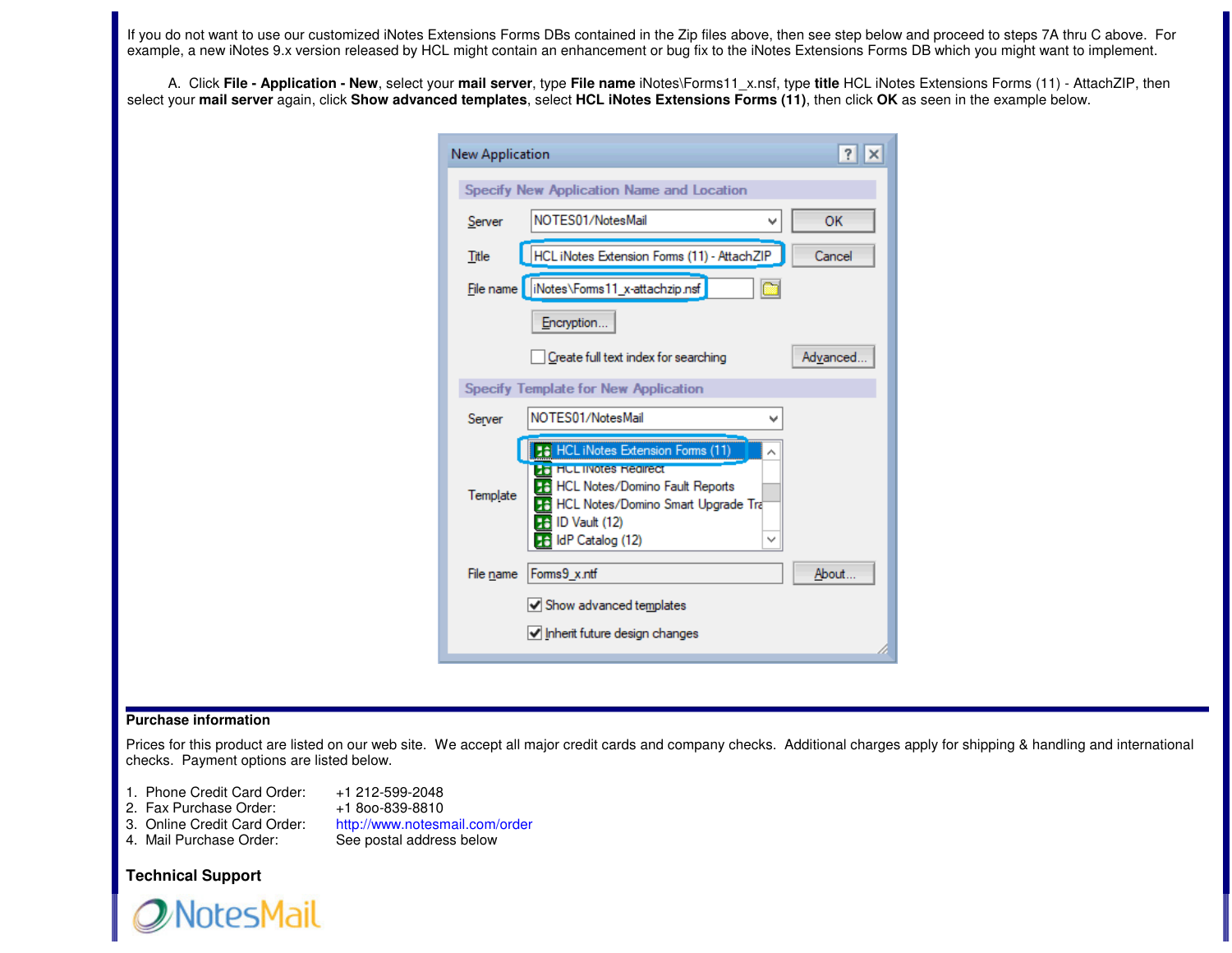If you do not want to use our customized iNotes Extensions Forms DBs contained in the Zip files above, then see step below and proceed to steps 7A thru C above. For example, a new iNotes 9.x version released by HCL might contain an enhancement or bug fix to the iNotes Extensions Forms DB which you might want to implement.

A. Click **File - Application - New**, select your **mail server**, type **File name** iNotes\Forms11\_x.nsf, type **title** HCL iNotes Extensions Forms (11) - AttachZIP, then select your **mail server** again, click **Show advanced templates**, select **HCL iNotes Extensions Forms (11)**, then click **OK** as seen in the example below.

| New Application |                                                                                                                                                                                                                  | ?        |
|-----------------|------------------------------------------------------------------------------------------------------------------------------------------------------------------------------------------------------------------|----------|
|                 | Specify New Application Name and Location                                                                                                                                                                        |          |
| Server          | NOTES01/NotesMail                                                                                                                                                                                                | OK       |
| Title           | HCL iNotes Extension Forms (11) - AttachZIP                                                                                                                                                                      | Cancel   |
|                 | File name     iNotes\Forms11_x-attachzip.nsf                                                                                                                                                                     |          |
|                 | Encryption                                                                                                                                                                                                       |          |
|                 | Create full text index for searching                                                                                                                                                                             | Advanced |
|                 | Specify Template for New Application                                                                                                                                                                             |          |
| Server          | NOTES01/NotesMail                                                                                                                                                                                                |          |
| Template        | <b>16</b> HCL iNotes Extension Forms (11)<br><b>HE HUL INOTES Redirect</b><br><b>HCL Notes/Domino Fault Reports</b><br><b>HCL Notes/Domino Smart Upgrade Tra</b><br>ID Vault (12)<br>56<br>IdP Catalog (12)<br>∨ |          |
| File name       | Forms9_x.ntf<br>√ Show advanced templates<br>$\sqrt{}$ Inherit future design changes                                                                                                                             | About    |
|                 |                                                                                                                                                                                                                  |          |

### **Purchase information**

Prices for this product are listed on our web site. We accept all major credit cards and company checks. Additional charges apply for shipping & handling and international checks. Payment options are listed below.

- 1. Phone Credit Card Order: +1 212-599-2048
- 2. Fax Purchase Order:
- 3. Online Credit Card Order:
- 4. Mail Purchase Order: See postal address below

+1800-839-8810 http://www.notesmail.com/order

# **Technical Support**